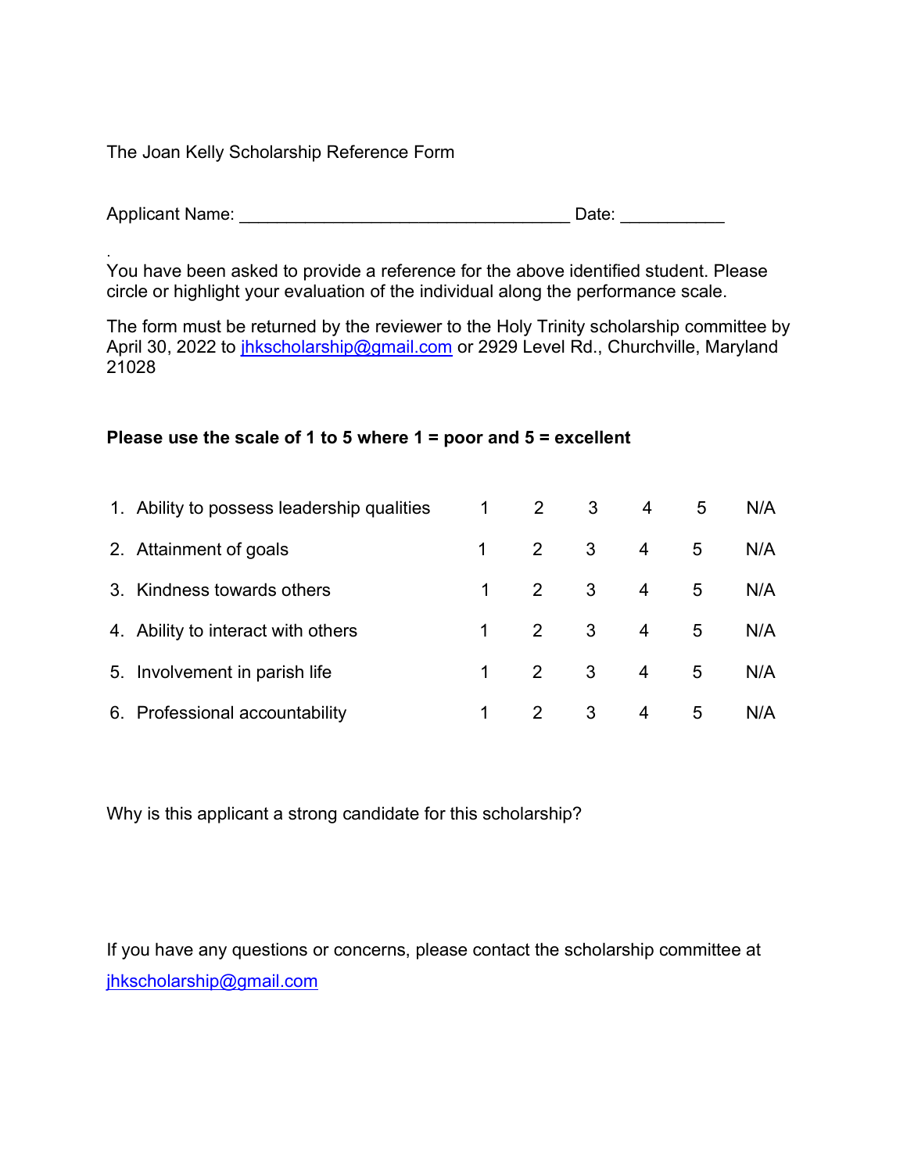The Joan Kelly Scholarship Reference Form

| <b>Applicant Name:</b> | Date: |  |
|------------------------|-------|--|
|                        |       |  |

. You have been asked to provide a reference for the above identified student. Please circle or highlight your evaluation of the individual along the performance scale.

The form must be returned by the reviewer to the Holy Trinity scholarship committee by April 30, 2022 to *jhkscholarship@gmail.com* or 2929 Level Rd., Churchville, Maryland 21028

## Please use the scale of 1 to 5 where  $1 =$  poor and  $5 =$  excellent

| 1. Ability to possess leadership qualities | $\mathbf{2}^{\prime}$ | 3                       | $\overline{4}$ | 5 | N/A |
|--------------------------------------------|-----------------------|-------------------------|----------------|---|-----|
| 2. Attainment of goals                     | 2                     | $\overline{\mathbf{3}}$ | $4 \quad$      | 5 | N/A |
| 3. Kindness towards others                 | 2                     | 3 <sup>1</sup>          | $\overline{4}$ | 5 | N/A |
| 4. Ability to interact with others         | 2                     | 3 <sup>1</sup>          | $4 \quad$      | 5 | N/A |
| 5. Involvement in parish life              | $\overline{2}$        | 3 <sup>1</sup>          | $4 \quad$      | 5 | N/A |
| 6. Professional accountability             | $\mathcal{P}$         | 3                       | 4              | 5 | N/A |

Why is this applicant a strong candidate for this scholarship?

If you have any questions or concerns, please contact the scholarship committee at jhkscholarship@gmail.com